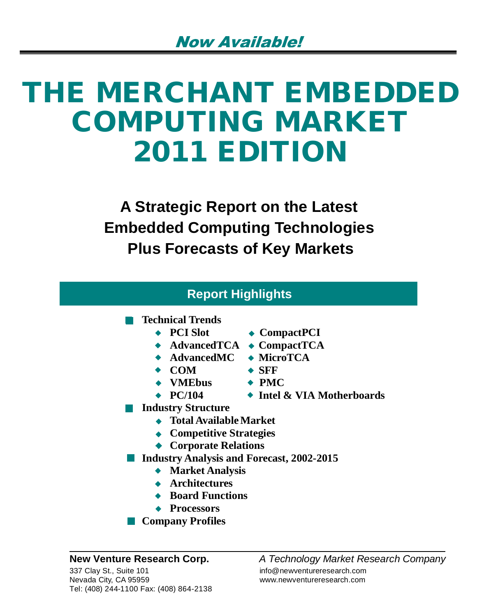# **THE MERCHANT EMBEDDED COMPUTING MARKET 2011 EDITION**

**A Strategic Report on the Latest Embedded Computing Technologies Plus Forecasts of Key Markets**

| <b>Report Highlights</b>                         |                            |  |
|--------------------------------------------------|----------------------------|--|
| <b>Technical Trends</b>                          |                            |  |
| $\leftarrow$ PCI Slot                            | $\bullet$ CompactPCI       |  |
| $\bullet$ AdvancedTCA $\bullet$ CompactTCA       |                            |  |
| $\blacklozenge$ AdvancedMC                       | $\blacklozenge$ MicroTCA   |  |
| $\bullet$ COM                                    | $\bullet$ SFF              |  |
| $\leftrightarrow$ VMEbus                         | $\rightarrow$ PMC          |  |
| $\leftrightarrow$ PC/104                         | ◆ Intel & VIA Motherboards |  |
| <b>Industry Structure</b>                        |                            |  |
| <b>Total Available Market</b>                    |                            |  |
| $\leftrightarrow$ Competitive Strategies         |                            |  |
| ◆ Corporate Relations                            |                            |  |
| <b>Industry Analysis and Forecast, 2002-2015</b> |                            |  |
| $\blacktriangle$ Morket Anglysis                 |                            |  |

- **Market Analysis**
- **Architectures**
- **Board Functions**
- **Processors**
- **Company Profiles**

**New Venture Research Corp.** *A Technology Market Research Company*

www.newventureresearch.com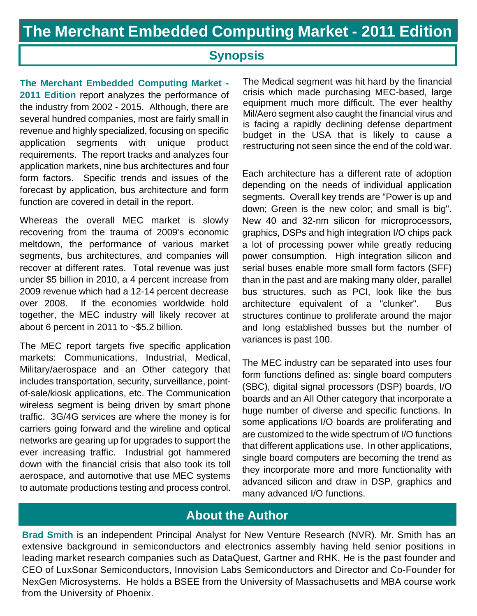## **Synopsis**

**The Merchant Embedded Computing Market - 2011 Edition** report analyzes the performance of the industry from 2002 - 2015. Although, there are several hundred companies, most are fairly small in revenue and highly specialized, focusing on specific application segments with unique product requirements. The report tracks and analyzes four application markets, nine bus architectures and four form factors. Specific trends and issues of the forecast by application, bus architecture and form function are covered in detail in the report.

Whereas the overall MEC market is slowly recovering from the trauma of 2009's economic meltdown, the performance of various market segments, bus architectures, and companies will recover at different rates. Total revenue was just under \$5 billion in 2010, a 4 percent increase from 2009 revenue which had a 12-14 percent decrease over 2008. If the economies worldwide hold together, the MEC industry will likely recover at about 6 percent in 2011 to ~\$5.2 billion.

The MEC report targets five specific application markets: Communications, Industrial, Medical, Military/aerospace and an Other category that includes transportation, security, surveillance, pointof-sale/kiosk applications, etc. The Communication wireless segment is being driven by smart phone traffic. 3G/4G services are where the money is for carriers going forward and the wireline and optical networks are gearing up for upgrades to support the ever increasing traffic. Industrial got hammered down with the financial crisis that also took its toll aerospace, and automotive that use MEC systems to automate productions testing and process control.

The Medical segment was hit hard by the financial crisis which made purchasing MEC-based, large equipment much more difficult. The ever healthy Mil/Aero segment also caught the financial virus and is facing a rapidly declining defense department budget in the USA that is likely to cause a restructuring not seen since the end of the cold war.

Each architecture has a different rate of adoption depending on the needs of individual application segments. Overall key trends are "Power is up and down; Green is the new color; and small is big". New 40 and 32-nm silicon for microprocessors, graphics, DSPs and high integration I/O chips pack a lot of processing power while greatly reducing power consumption. High integration silicon and serial buses enable more small form factors (SFF) than in the past and are making many older, parallel bus structures, such as PCI, look like the bus architecture equivalent of a "clunker". Bus structures continue to proliferate around the major and long established busses but the number of variances is past 100.

The MEC industry can be separated into uses four form functions defined as: single board computers (SBC), digital signal processors (DSP) boards, I/O boards and an All Other category that incorporate a huge number of diverse and specific functions. In some applications I/O boards are proliferating and are customized to the wide spectrum of I/O functions that different applications use. In other applications, single board computers are becoming the trend as they incorporate more and more functionality with advanced silicon and draw in DSP, graphics and many advanced I/O functions.

## **About the Author**

**Brad Smith** is an independent Principal Analyst for New Venture Research (NVR). Mr. Smith has an extensive background in semiconductors and electronics assembly having held senior positions in leading market research companies such as DataQuest, Gartner and RHK. He is the past founder and CEO of LuxSonar Semiconductors, Innovision Labs Semiconductors and Director and Co-Founder for NexGen Microsystems. He holds a BSEE from the University of Massachusetts and MBA course work from the University of Phoenix.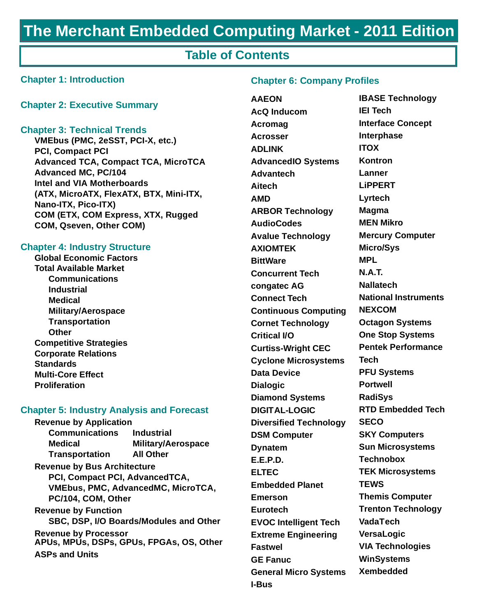## **The Merchant Embedded Computing Market - 2011 Edition**

## **Table of Contents**

#### **Chapter 1: Introduction**

#### **Chapter 2: Executive Summary**

#### **Chapter 3: Technical Trends**

**VMEbus (PMC, 2eSST, PCI-X, etc.) PCI, Compact PCI Advanced TCA, Compact TCA, MicroTCA Advanced MC, PC/104 Intel and VIA Motherboards (ATX, MicroATX, FlexATX, BTX, Mini-ITX, Nano-ITX, Pico-ITX) COM (ETX, COM Express, XTX, Rugged COM, Qseven, Other COM)**

#### **Chapter 4: Industry Structure**

**Global Economic Factors Total Available Market Communications Industrial Medical Military/Aerospace Transportation Other Competitive Strategies Corporate Relations Standards Multi-Core Effect Proliferation**

#### **Chapter 5: Industry Analysis and Forecast**

**Revenue by Application Communications Industrial Medical Military/Aerospace Transportation All Other Revenue by Bus Architecture PCI, Compact PCI, AdvancedTCA, VMEbus, PMC, AdvancedMC, MicroTCA, PC/104, COM, Other Revenue by Function SBC, DSP, I/O Boards/Modules and Other Revenue by Processor APUs, MPUs, DSPs, GPUs, FPGAs, OS, Other**

**ASPs and Units**

#### **Chapter 6: Company Profiles**

**AAEON AcQ Inducom Acromag Acrosser ADLINK AdvancedIO Systems Advantech Aitech AMD ARBOR Technology AudioCodes Avalue Technology AXIOMTEK BittWare Concurrent Tech congatec AG Connect Tech Continuous Computing Cornet Technology Critical I/O Curtiss-Wright CEC Cyclone Microsystems Data Device Dialogic Diamond Systems DIGITAL-LOGIC Diversified Technology DSM Computer Dynatem E.E.P.D. ELTEC Embedded Planet Emerson Eurotech EVOC Intelligent Tech Extreme Engineering Fastwel GE Fanuc General Micro Systems I-Bus**

**IBASE Technology IEI Tech Interface Concept Interphase ITOX Kontron Lanner LiPPERT Lyrtech Magma MEN Mikro Mercury Computer Micro/Sys MPL N.A.T. Nallatech National Instruments NEXCOM Octagon Systems One Stop Systems Pentek Performance Tech PFU Systems Portwell RadiSys RTD Embedded Tech SECO SKY Computers Sun Microsystems Technobox TEK Microsystems TEWS Themis Computer Trenton Technology VadaTech VersaLogic VIA Technologies WinSystems Xembedded**